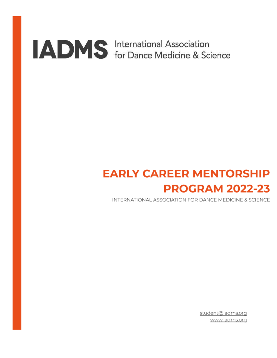# **ADMS** International Association<br>for Dance Medicine & Science

### **EARLY CAREER MENTORSHIP PROGRAM 2022-23**

INTERNATIONAL ASSOCIATION FOR DANCE MEDICINE & SCIENCE

student@iadms.org www.iadms.org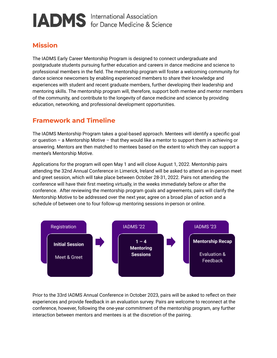## **IADMS** International Association

#### **Mission**

The IADMS Early Career Mentorship Program is designed to connect undergraduate and postgraduate students pursuing further education and careers in dance medicine and science to professional members in the field. The mentorship program will foster a welcoming community for dance science newcomers by enabling experienced members to share their knowledge and experiences with student and recent graduate members, further developing their leadership and mentoring skills. The mentorship program will, therefore, support both mentee and mentor members of the community, and contribute to the longevity of dance medicine and science by providing education, networking, and professional development opportunities.

#### **Framework and Timeline**

The IADMS Mentorship Program takes a goal-based approach. Mentees will identify a specific goal or question – a Mentorship Motive – that they would like a mentor to support them in achieving or answering. Mentors are then matched to mentees based on the extent to which they can support a mentee's Mentorship Motive.

Applications for the program will open May 1 and will close August 1, 2022. Mentorship pairs attending the 32nd Annual Conference in Limerick, Ireland will be asked to attend an in-person meet and greet session, which will take place between October 28-31, 2022. Pairs not attending the conference will have their first meeting virtually, in the weeks immediately before or after the conference. After reviewing the mentorship program goals and agreements, pairs will clarify the Mentorship Motive to be addressed over the next year, agree on a broad plan of action and a schedule of between one to four follow-up mentoring sessions in-person or online.



Prior to the 33rd IADMS Annual Conference in October 2023, pairs will be asked to reflect on their experiences and provide feedback in an evaluation survey. Pairs are welcome to reconnect at the conference, however, following the one-year commitment of the mentorship program, any further interaction between mentors and mentees is at the discretion of the pairing.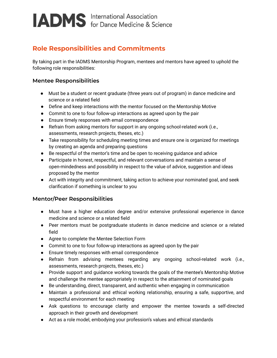### **IADMS** International Association

#### **Role Responsibilities and Commitments**

By taking part in the IADMS Mentorship Program, mentees and mentors have agreed to uphold the following role responsibilities:

#### **Mentee Responsibilities**

- Must be a student or recent graduate (three years out of program) in dance medicine and science or a related field
- Define and keep interactions with the mentor focused on the Mentorship Motive
- Commit to one to four follow-up interactions as agreed upon by the pair
- Ensure timely responses with email correspondence
- Refrain from asking mentors for support in any ongoing school-related work (i.e., assessments, research projects, theses, etc.)
- Take responsibility for scheduling meeting times and ensure one is organized for meetings by creating an agenda and preparing questions
- Be respectful of the mentor's time and be open to receiving guidance and advice
- Participate in honest, respectful, and relevant conversations and maintain a sense of open-mindedness and possibility in respect to the value of advice, suggestion and ideas proposed by the mentor
- Act with integrity and commitment, taking action to achieve your nominated goal, and seek clarification if something is unclear to you

#### **Mentor/Peer Responsibilities**

- Must have a higher education degree and/or extensive professional experience in dance medicine and science or a related field
- Peer mentors must be postgraduate students in dance medicine and science or a related field
- Agree to complete the Mentee Selection Form
- Commit to one to four follow-up interactions as agreed upon by the pair
- Ensure timely responses with email correspondence
- Refrain from advising mentees regarding any ongoing school-related work (i.e., assessments, research projects, theses, etc.)
- Provide support and guidance working towards the goals of the mentee's Mentorship Motive and challenge the mentee appropriately in respect to the attainment of nominated goals
- Be understanding, direct, transparent, and authentic when engaging in communication
- Maintain a professional and ethical working relationship, ensuring a safe, supportive, and respectful environment for each meeting
- Ask questions to encourage clarity and empower the mentee towards a self-directed approach in their growth and development
- Act as a role model, embodying your profession's values and ethical standards